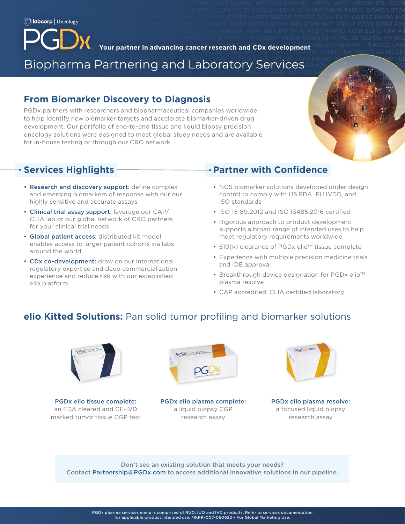CD276 DDR2 FAM46C GLI1 IRF2 MED12 NTRK3† PPP2R1A RPA1 SUZ12 XPC ATRX CD70 DICER1 FANCA GNA11 IRF4 MEF2B NUP93 PPP2R2A **RPS6KA4 System System Aurelier Contains Concert Research and CDy development** RRB CD79B DNMT1 FANCC GNA **Represent Partner in advancing cancer research and CDx development TAD CD73D DNMT1 FANCC GNAS PRESENT AND CD.**<br>The search and the partner in advancing cancer research and CDx development TAD CD73D DNM1 TEK XRCC3 AXIN2 CD

KDM5C MARENE SDHB TGFBR2 BCL2 CDKN1B EIF1AX FAS H3F3A KDM6A MSH2 PAX5 PTK2 PAX5 PTK2 PAX5 PTK2 PAX5 PTK2 PAX5 PTK2  $\frac{1}{\sqrt{1+\frac{1}{2}}\left(\frac{1}{2}\right)^{2}}$  and the set of the set of the set of the set of the set of the set of the set of the set of the set of the set of the set of the set of the set of the set of the set of the set of the set

 $P$  is called the state of the state of the state of the state of the state  $\alpha$ NFE2L2 PIK3R2 RANBP2 SOX10 TYRO3 ALOXI2 BUB1B CTLA4 ERCC8 FLT4 IFNGR1 MAGI2 NFKBIA PIK3R3 RARA SOX17 U2AF1 AMER

GATA6 INPP4B MDM2 NTRK1 POT1 RNF43 STK40 XIAP ATM ERBB2 DDR1 FAM175A GID4 INSR MDM4 NTRK2† PPARG ROS1 SUFU XPA ATR

DNMT3B FANCE GEP PAK7 PRKCI RUNX1T1 TERC YAP1 AXL CDK12 DOT1L FANCF GPP124 JAK3 MKNK1 PALB2 PRKDC RYBP TER Biopharma Partnering and Laboratory Services Bark2 Katalog and Laboratory Services SDHA TET2 ZNF217 BARDI CDK8 EGFL7 DCUNID1 GRM3 KDM5A MPL PARP2 PTCH1 SDHAF2 TGFBR1 ZNF703 AP<mark>/ also arid align</mark> gr

### $\Gamma$  epcam for the state of the state of the state of the state of the state of the state of the state of the state of the state of the state of the state of the state of the state of the state of the state of the state o **From Biomarker Discovery to Diagnosis From Biomarker Discovery to Diagnosis**

PGDx partners with researchers and biopharmaceutical companies worldwide **the changible of the state of the state** TODA Partners with researchers and biopharmaceutical companies worldwide to help identify new biomarker targets and accelerate biomarker-driven drug and the state of the state of the state of the state of the state of the state of the state of the state of the state of the state of the state of development. Our portfolio of end-to-end tissue and liquid biopsy precision oncology solutions were designed to meet global study needs and are available **the study of the study of the study** for in-house testing or through our CRO network. The state of the state of the state of the state of the state of the state of the state of the state of the state of the state of the state of the state of the state of the

## C11ORF30 CTNNA1 ERG FOXA1 IGF1 MAML1 NKX2-1 PIM1 RASA1 SOX2 VEGFA APC CALR CTNNB1 ERRFI1 FOXL2 IGF1R MAP2K1 NKX3-1 PLCG2 **Services Highlights**

- Research and discovery support: define complex NGS biomarker solutions developed under design WESCALL1 AND DISCOVERY SUPPORT GETTIE COMPLEX THROUGH ARISES IN THE RELEASED OF THE MAX NEWSLIP GATAS IN THE RELEASED OF THE MAX IN THE RELEASED OF THE MAX IN THE RELEASED OF THE MCLINIC CONDITION OF THE MAX IN THE RELEASE and emerging biomarkers of response with our our and control to comply with US FDA, EU IVDD, and and the state with our our control to comply with US FDA, EU IVDD, and • Research and discovery support: define complex
- Clinical trial assay support: leverage our CAP/ ISO 15189:2012 and ISO 13485:2016 certified CLIA lab or our global network of CRO partners experiences as a pigerous approach to product development for your clinical trial needs
- Global patient access: distributed kit model meet regulatory requirements worldwide enables access to larger patient conorts via labs  $\bullet$  510(k) clearance of PGDx elio<sup>th</sup> tissue complete **• Global patient access:** distributed kit model enables access to larger patient cohorts via labs around the world
- regulatory expertise and deep commercialization and the approval and the approval regenatery enperities and despitement commencement of the matrix of the Breakthrough device designation for PGDx elio™ KM2C PDPK1 RAD31 SLX4 TNFRSF14 TOP1 SLX4 TOP1 ABL1 BMPR1A FGF4 HIST1H3B KMT2D MYCL PHOX2B RAD50 SMAD4 TOP1 ABL1 BMP experience and reduce risk with our established elio platform

## **Reading Services Highlights — Reading Services Highlights Reserves Araf Araf Araf Araf Araf Araf Araf Ara**  $N_{\rm eff}$  pmairing  $\sigma$  because  $\sigma$  is a context extension in the late  $\sigma$

- highly sensitive and accurate assays **Exercise 2018** ISO standards Rosen and and at control to comply with US FDA, EU IVDD, and ISO standards
	- ISO 15189:2012 and ISO 13485:2016 certified
- CLIA Iab of our grobal network of CRO partners<br>for your clinical trial needs For your chincal that heeds<br>
supports a broad range of intended uses to help<br>
supports a broad range of intended uses to help
	-
- around the world<br>
 Experience with multiple precision medicine trials • CDx co-development: draw on our international • Experience with multiple precision medicine trials and IDE approval
- PDGFRBB QUARA TEXT SERIES BOLD TO THE CHARGES HISTORIC CHARGES AND THE POST OF THE CHARGES HISTORICAL SUBSTITU plasma resolve
- CAP accredited, CLIA certified laboratory

# **elio Kitted Solutions:** Pan solid tumor profiling and biomarker solutions



PGDx elio tissue complete: an FDA cleared and CE-IVD marked tumor tissue CGP test



PGDx elio plasma complete: a liquid biopsy CGP research assay



PGDx elio plasma resolve: a focused liquid biopsy research assay

Don't see an existing solution that meets your needs? Contact Partnership@PGDx.com to access additional innovative solutions in our pipeline.